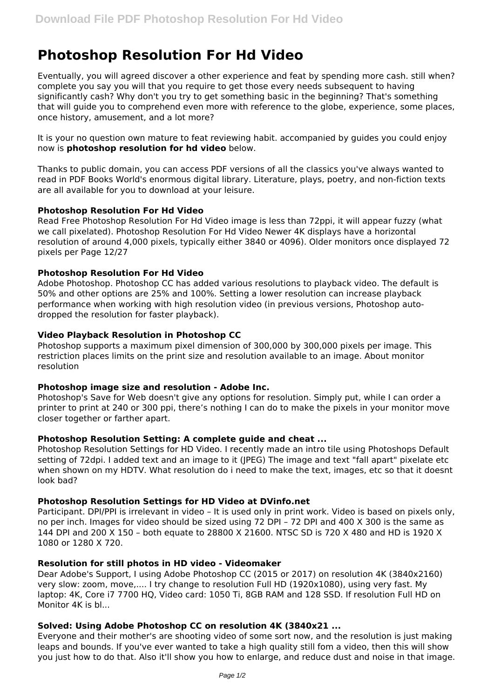# **Photoshop Resolution For Hd Video**

Eventually, you will agreed discover a other experience and feat by spending more cash. still when? complete you say you will that you require to get those every needs subsequent to having significantly cash? Why don't you try to get something basic in the beginning? That's something that will guide you to comprehend even more with reference to the globe, experience, some places, once history, amusement, and a lot more?

It is your no question own mature to feat reviewing habit. accompanied by guides you could enjoy now is **photoshop resolution for hd video** below.

Thanks to public domain, you can access PDF versions of all the classics you've always wanted to read in PDF Books World's enormous digital library. Literature, plays, poetry, and non-fiction texts are all available for you to download at your leisure.

# **Photoshop Resolution For Hd Video**

Read Free Photoshop Resolution For Hd Video image is less than 72ppi, it will appear fuzzy (what we call pixelated). Photoshop Resolution For Hd Video Newer 4K displays have a horizontal resolution of around 4,000 pixels, typically either 3840 or 4096). Older monitors once displayed 72 pixels per Page 12/27

# **Photoshop Resolution For Hd Video**

Adobe Photoshop. Photoshop CC has added various resolutions to playback video. The default is 50% and other options are 25% and 100%. Setting a lower resolution can increase playback performance when working with high resolution video (in previous versions, Photoshop autodropped the resolution for faster playback).

# **Video Playback Resolution in Photoshop CC**

Photoshop supports a maximum pixel dimension of 300,000 by 300,000 pixels per image. This restriction places limits on the print size and resolution available to an image. About monitor resolution

#### **Photoshop image size and resolution - Adobe Inc.**

Photoshop's Save for Web doesn't give any options for resolution. Simply put, while I can order a printer to print at 240 or 300 ppi, there's nothing I can do to make the pixels in your monitor move closer together or farther apart.

#### **Photoshop Resolution Setting: A complete guide and cheat ...**

Photoshop Resolution Settings for HD Video. I recently made an intro tile using Photoshops Default setting of 72dpi. I added text and an image to it (JPEG) The image and text "fall apart" pixelate etc when shown on my HDTV. What resolution do i need to make the text, images, etc so that it doesnt look bad?

#### **Photoshop Resolution Settings for HD Video at DVinfo.net**

Participant. DPI/PPI is irrelevant in video – It is used only in print work. Video is based on pixels only, no per inch. Images for video should be sized using 72 DPI – 72 DPI and 400 X 300 is the same as 144 DPI and 200 X 150 – both equate to 28800 X 21600. NTSC SD is 720 X 480 and HD is 1920 X 1080 or 1280 X 720.

#### **Resolution for still photos in HD video - Videomaker**

Dear Adobe's Support, I using Adobe Photoshop CC (2015 or 2017) on resolution 4K (3840x2160) very slow: zoom, move,.... I try change to resolution Full HD (1920x1080), using very fast. My laptop: 4K, Core i7 7700 HQ, Video card: 1050 Ti, 8GB RAM and 128 SSD. If resolution Full HD on Monitor 4K is bl...

# **Solved: Using Adobe Photoshop CC on resolution 4K (3840x21 ...**

Everyone and their mother's are shooting video of some sort now, and the resolution is just making leaps and bounds. If you've ever wanted to take a high quality still fom a video, then this will show you just how to do that. Also it'll show you how to enlarge, and reduce dust and noise in that image.